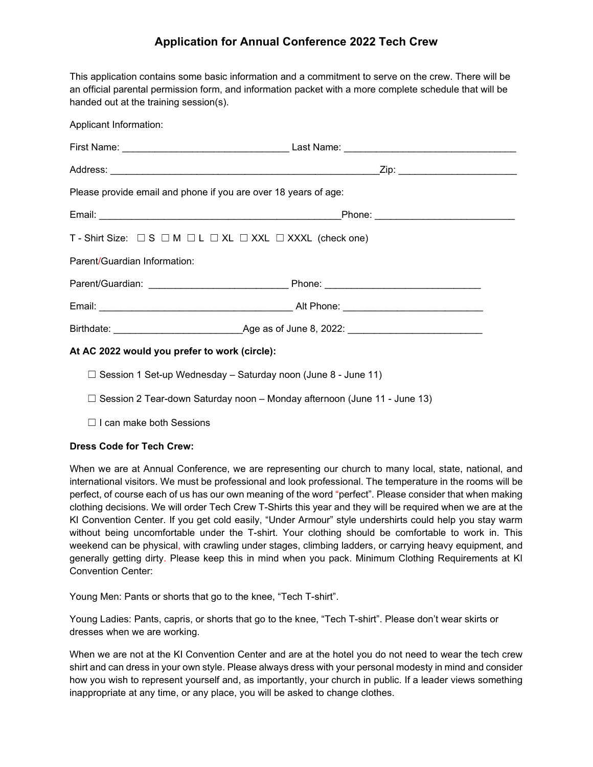## **Application for Annual Conference 2022 Tech Crew**

This application contains some basic information and a commitment to serve on the crew. There will be an official parental permission form, and information packet with a more complete schedule that will be handed out at the training session(s).

| Applicant Information:                                                                  |  |
|-----------------------------------------------------------------------------------------|--|
|                                                                                         |  |
|                                                                                         |  |
| Please provide email and phone if you are over 18 years of age:                         |  |
|                                                                                         |  |
| T - Shirt Size: $\Box$ S $\Box$ M $\Box$ L $\Box$ XL $\Box$ XXL $\Box$ XXXL (check one) |  |
| Parent/Guardian Information:                                                            |  |
|                                                                                         |  |
|                                                                                         |  |
|                                                                                         |  |
| At AC 2022 would you prefer to work (circle):                                           |  |

 $\Box$  Session 1 Set-up Wednesday – Saturday noon (June 8 - June 11)

- 
- $\Box$  Session 2 Tear-down Saturday noon Monday afternoon (June 11 June 13)
- ☐ I can make both Sessions

### **Dress Code for Tech Crew:**

When we are at Annual Conference, we are representing our church to many local, state, national, and international visitors. We must be professional and look professional. The temperature in the rooms will be perfect, of course each of us has our own meaning of the word "perfect". Please consider that when making clothing decisions. We will order Tech Crew T-Shirts this year and they will be required when we are at the KI Convention Center. If you get cold easily, "Under Armour" style undershirts could help you stay warm without being uncomfortable under the T-shirt. Your clothing should be comfortable to work in. This weekend can be physical, with crawling under stages, climbing ladders, or carrying heavy equipment, and generally getting dirty. Please keep this in mind when you pack. Minimum Clothing Requirements at KI Convention Center:

Young Men: Pants or shorts that go to the knee, "Tech T-shirt".

Young Ladies: Pants, capris, or shorts that go to the knee, "Tech T-shirt". Please don't wear skirts or dresses when we are working.

When we are not at the KI Convention Center and are at the hotel you do not need to wear the tech crew shirt and can dress in your own style. Please always dress with your personal modesty in mind and consider how you wish to represent yourself and, as importantly, your church in public. If a leader views something inappropriate at any time, or any place, you will be asked to change clothes.